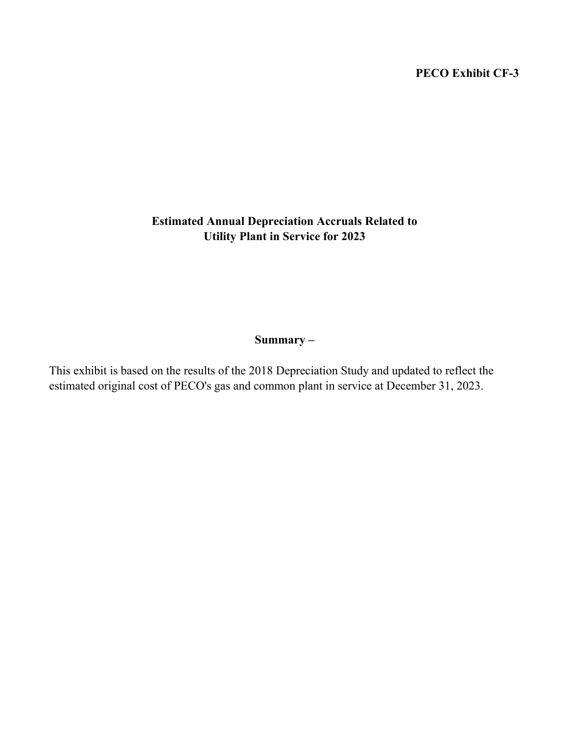# PECO Exhibit CF-3

# Estimated Annual Depreciation Accruals Related to Utility Plant in Service for 2023

## Summary –

This exhibit is based on the results of the 2018 Depreciation Study and updated to reflect the estimated original cost of PECO's gas and common plant in service at December 31, 2023.